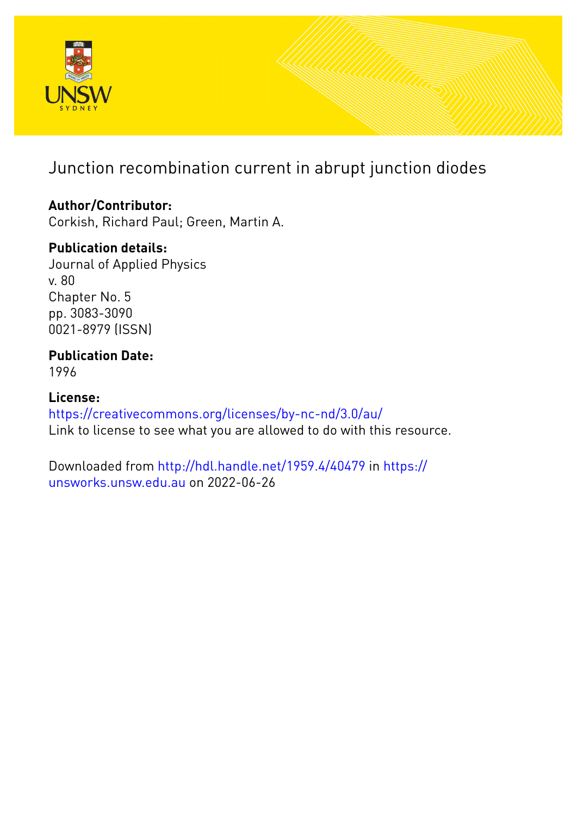

# Junction recombination current in abrupt junction diodes

## **Author/Contributor:**

Corkish, Richard Paul; Green, Martin A.

## **Publication details:**

Journal of Applied Physics v. 80 Chapter No. 5 pp. 3083-3090 0021-8979 (ISSN)

# **Publication Date:**

1996

### **License:** <https://creativecommons.org/licenses/by-nc-nd/3.0/au/> Link to license to see what you are allowed to do with this resource.

Downloaded from <http://hdl.handle.net/1959.4/40479> in [https://](https://unsworks.unsw.edu.au) [unsworks.unsw.edu.au](https://unsworks.unsw.edu.au) on 2022-06-26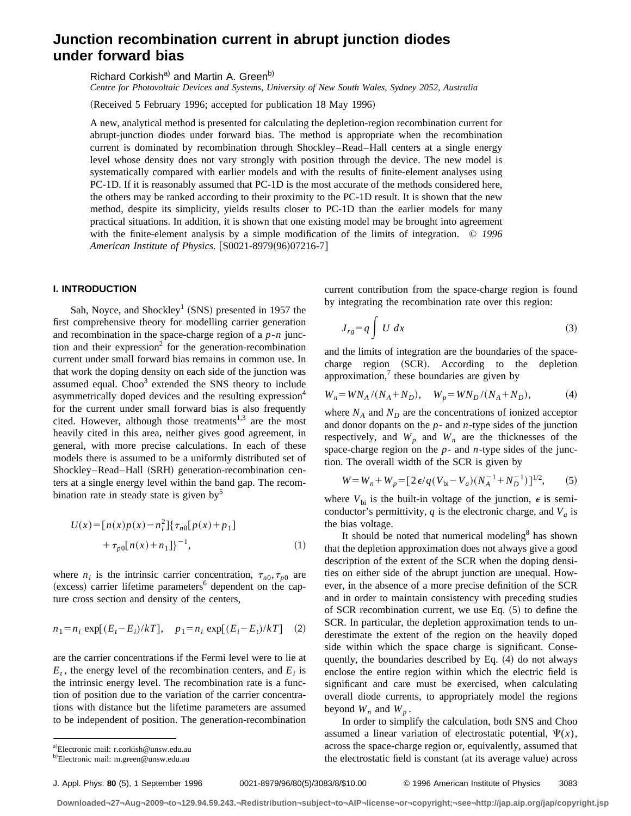### **Junction recombination current in abrupt junction diodes under forward bias**

Richard Corkish<sup>a)</sup> and Martin A. Green<sup>b)</sup>

*Centre for Photovoltaic Devices and Systems, University of New South Wales, Sydney 2052, Australia*

(Received 5 February 1996; accepted for publication 18 May 1996)

A new, analytical method is presented for calculating the depletion-region recombination current for abrupt-junction diodes under forward bias. The method is appropriate when the recombination current is dominated by recombination through Shockley–Read–Hall centers at a single energy level whose density does not vary strongly with position through the device. The new model is systematically compared with earlier models and with the results of finite-element analyses using PC-1D. If it is reasonably assumed that PC-1D is the most accurate of the methods considered here, the others may be ranked according to their proximity to the PC-1D result. It is shown that the new method, despite its simplicity, yields results closer to PC-1D than the earlier models for many practical situations. In addition, it is shown that one existing model may be brought into agreement with the finite-element analysis by a simple modification of the limits of integration. © *1996 American Institute of Physics.* [S0021-8979(96)07216-7]

### **I. INTRODUCTION**

Sah, Noyce, and Shockley<sup>1</sup> (SNS) presented in 1957 the first comprehensive theory for modelling carrier generation and recombination in the space-charge region of a *p*-*n* junction and their expression<sup>2</sup> for the generation-recombination current under small forward bias remains in common use. In that work the doping density on each side of the junction was assumed equal.  $Choo<sup>3</sup>$  extended the SNS theory to include asymmetrically doped devices and the resulting expression<sup>4</sup> for the current under small forward bias is also frequently cited. However, although those treatments<sup>1,3</sup> are the most heavily cited in this area, neither gives good agreement, in general, with more precise calculations. In each of these models there is assumed to be a uniformly distributed set of Shockley–Read–Hall (SRH) generation-recombination centers at a single energy level within the band gap. The recombination rate in steady state is given by<sup>5</sup>

$$
U(x) = [n(x)p(x) - n_i^2] \{ \tau_{n0} [p(x) + p_1] + \tau_{p0} [n(x) + n_1] \}^{-1},
$$
\n(1)

where  $n_i$  is the intrinsic carrier concentration,  $\tau_{n0}, \tau_{p0}$  are  $(excess)$  carrier lifetime parameters<sup>6</sup> dependent on the capture cross section and density of the centers,

$$
n_1 = n_i \exp[(E_t - E_i)/kT], \quad p_1 = n_i \exp[(E_i - E_t)/kT]
$$
 (2)

are the carrier concentrations if the Fermi level were to lie at  $E_t$ , the energy level of the recombination centers, and  $E_i$  is the intrinsic energy level. The recombination rate is a function of position due to the variation of the carrier concentrations with distance but the lifetime parameters are assumed to be independent of position. The generation-recombination current contribution from the space-charge region is found by integrating the recombination rate over this region:

$$
J_{rg} = q \int U dx
$$
 (3)

and the limits of integration are the boundaries of the space $charge$  region  $(SCR)$ . According to the depletion approximation, $\alpha$  these boundaries are given by

$$
W_n = W N_A / (N_A + N_D), \quad W_p = W N_D / (N_A + N_D), \tag{4}
$$

where  $N_A$  and  $N_D$  are the concentrations of ionized acceptor and donor dopants on the *p*- and *n*-type sides of the junction respectively, and  $W_p$  and  $W_n$  are the thicknesses of the space-charge region on the *p*- and *n*-type sides of the junction. The overall width of the SCR is given by

$$
W = W_n + W_p = [2\epsilon/q(V_{bi} - V_a)(N_A^{-1} + N_D^{-1})]^{1/2},
$$
 (5)

where  $V_{\rm bi}$  is the built-in voltage of the junction,  $\epsilon$  is semiconductor's permittivity,  $q$  is the electronic charge, and  $V_a$  is the bias voltage.

It should be noted that numerical modeling<sup>8</sup> has shown that the depletion approximation does not always give a good description of the extent of the SCR when the doping densities on either side of the abrupt junction are unequal. However, in the absence of a more precise definition of the SCR and in order to maintain consistency with preceding studies of SCR recombination current, we use Eq.  $(5)$  to define the SCR. In particular, the depletion approximation tends to underestimate the extent of the region on the heavily doped side within which the space charge is significant. Consequently, the boundaries described by Eq.  $(4)$  do not always enclose the entire region within which the electric field is significant and care must be exercised, when calculating overall diode currents, to appropriately model the regions beyond  $W_n$  and  $W_n$ .

In order to simplify the calculation, both SNS and Choo assumed a linear variation of electrostatic potential,  $\Psi(x)$ , across the space-charge region or, equivalently, assumed that the electrostatic field is constant (at its average value) across

J. Appl. Phys. **80** (5), 1 September 1996 0021-8979/96/80(5)/3083/8/\$10.00 © 1996 American Institute of Physics 3083

a)Electronic mail: r.corkish@unsw.edu.au <sup>b)</sup>Electronic mail: m.green@unsw.edu.au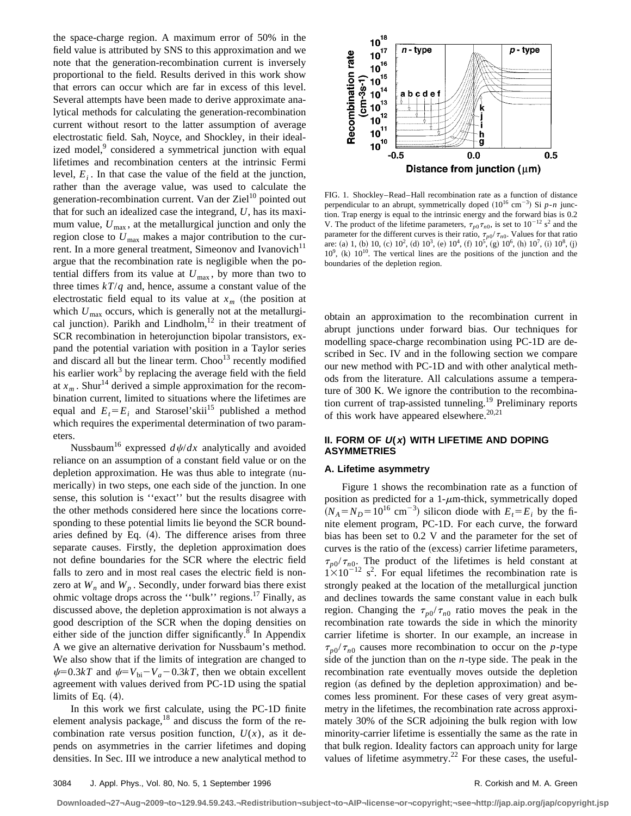the space-charge region. A maximum error of 50% in the field value is attributed by SNS to this approximation and we note that the generation-recombination current is inversely proportional to the field. Results derived in this work show that errors can occur which are far in excess of this level. Several attempts have been made to derive approximate analytical methods for calculating the generation-recombination current without resort to the latter assumption of average electrostatic field. Sah, Noyce, and Shockley, in their idealized model,<sup>9</sup> considered a symmetrical junction with equal lifetimes and recombination centers at the intrinsic Fermi level,  $E_i$ . In that case the value of the field at the junction, rather than the average value, was used to calculate the generation-recombination current. Van der Ziel $10$  pointed out that for such an idealized case the integrand, *U*, has its maximum value,  $U_{\text{max}}$ , at the metallurgical junction and only the region close to  $U_{\text{max}}$  makes a major contribution to the current. In a more general treatment, Simeonov and Ivanovich $11$ argue that the recombination rate is negligible when the potential differs from its value at  $U_{\text{max}}$ , by more than two to three times  $kT/q$  and, hence, assume a constant value of the electrostatic field equal to its value at  $x_m$  (the position at which  $U_{\text{max}}$  occurs, which is generally not at the metallurgical junction). Parikh and Lindholm, $^{12}$  in their treatment of SCR recombination in heterojunction bipolar transistors, expand the potential variation with position in a Taylor series and discard all but the linear term. Choo<sup>13</sup> recently modified his earlier work $3$  by replacing the average field with the field at  $x_m$ . Shur<sup>14</sup> derived a simple approximation for the recombination current, limited to situations where the lifetimes are equal and  $E_t = E_i$  and Starosel'skii<sup>15</sup> published a method which requires the experimental determination of two parameters.

Nussbaum<sup>16</sup> expressed  $d\psi/dx$  analytically and avoided reliance on an assumption of a constant field value or on the depletion approximation. He was thus able to integrate (numerically) in two steps, one each side of the junction. In one sense, this solution is ''exact'' but the results disagree with the other methods considered here since the locations corresponding to these potential limits lie beyond the SCR boundaries defined by Eq.  $(4)$ . The difference arises from three separate causes. Firstly, the depletion approximation does not define boundaries for the SCR where the electric field falls to zero and in most real cases the electric field is nonzero at  $W_n$  and  $W_p$ . Secondly, under forward bias there exist ohmic voltage drops across the ''bulk'' regions.17 Finally, as discussed above, the depletion approximation is not always a good description of the SCR when the doping densities on either side of the junction differ significantly.<sup>8</sup> In Appendix A we give an alternative derivation for Nussbaum's method. We also show that if the limits of integration are changed to  $\psi$ =0.3*kT* and  $\psi$ = $V_{bi}$ <sup>-</sup> $V_a$ -0.3*kT*, then we obtain excellent agreement with values derived from PC-1D using the spatial limits of Eq.  $(4)$ .

In this work we first calculate, using the PC-1D finite element analysis package, $18$  and discuss the form of the recombination rate versus position function,  $U(x)$ , as it depends on asymmetries in the carrier lifetimes and doping densities. In Sec. III we introduce a new analytical method to



FIG. 1. Shockley–Read–Hall recombination rate as a function of distance perpendicular to an abrupt, symmetrically doped  $(10^{16} \text{ cm}^{-3})$  Si  $p$ -*n* junction. Trap energy is equal to the intrinsic energy and the forward bias is 0.2 V. The product of the lifetime parameters,  $\tau_{p0}\tau_{n0}$ , is set to  $10^{-12}$  s<sup>2</sup> and the parameter for the different curves is their ratio,  $\tau_{p0}/\tau_{n0}$ . Values for that ratio are: (a) 1, (b) 10, (c)  $10^2$ , (d)  $10^3$ , (e)  $10^4$ , (f)  $10^5$ , (g)  $10^6$ , (h)  $10^7$ , (i)  $10^8$ , (j)  $10^9$ , (k)  $10^{10}$ . The vertical lines are the positions of the junction and the boundaries of the depletion region.

obtain an approximation to the recombination current in abrupt junctions under forward bias. Our techniques for modelling space-charge recombination using PC-1D are described in Sec. IV and in the following section we compare our new method with PC-1D and with other analytical methods from the literature. All calculations assume a temperature of 300 K. We ignore the contribution to the recombination current of trap-assisted tunneling.<sup>19</sup> Preliminary reports of this work have appeared elsewhere.<sup>20,21</sup>

#### **II. FORM OF U(x) WITH LIFETIME AND DOPING ASYMMETRIES**

### **A. Lifetime asymmetry**

Figure 1 shows the recombination rate as a function of position as predicted for a  $1-\mu m$ -thick, symmetrically doped  $(N_A = N_D = 10^{16} \text{ cm}^{-3})$  silicon diode with  $E_t = E_i$  by the finite element program, PC-1D. For each curve, the forward bias has been set to 0.2 V and the parameter for the set of curves is the ratio of the (excess) carrier lifetime parameters,  $\tau_{p0}/\tau_{n0}$ . The product of the lifetimes is held constant at  $1 \times 10^{-12}$  s<sup>2</sup>. For equal lifetimes the recombination rate is strongly peaked at the location of the metallurgical junction and declines towards the same constant value in each bulk region. Changing the  $\tau_{p0}/\tau_{n0}$  ratio moves the peak in the recombination rate towards the side in which the minority carrier lifetime is shorter. In our example, an increase in  $\tau_{p0}/\tau_{n0}$  causes more recombination to occur on the *p*-type side of the junction than on the *n*-type side. The peak in the recombination rate eventually moves outside the depletion region (as defined by the depletion approximation) and becomes less prominent. For these cases of very great asymmetry in the lifetimes, the recombination rate across approximately 30% of the SCR adjoining the bulk region with low minority-carrier lifetime is essentially the same as the rate in that bulk region. Ideality factors can approach unity for large values of lifetime asymmetry.<sup>22</sup> For these cases, the useful-

**Downloaded¬27¬Aug¬2009¬to¬129.94.59.243.¬Redistribution¬subject¬to¬AIP¬license¬or¬copyright;¬see¬http://jap.aip.org/jap/copyright.jsp**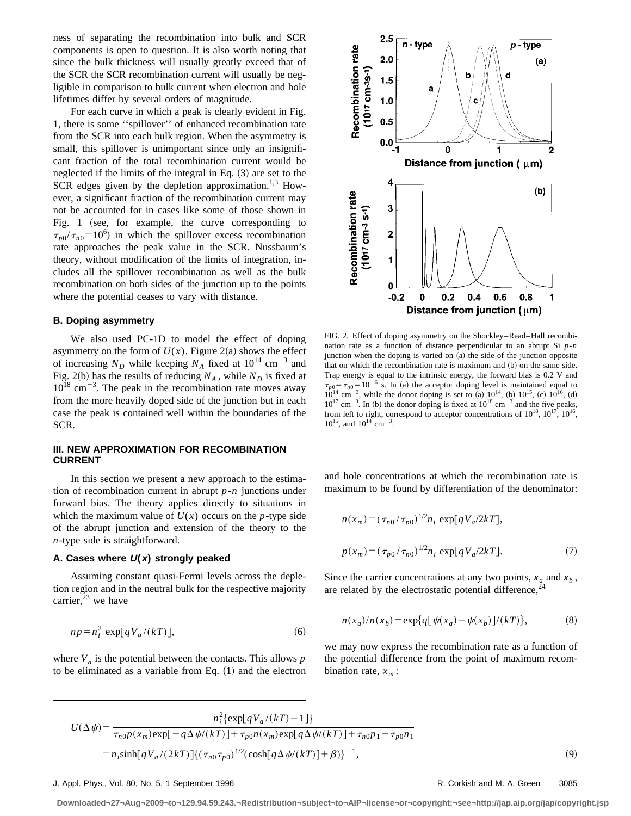ness of separating the recombination into bulk and SCR components is open to question. It is also worth noting that since the bulk thickness will usually greatly exceed that of the SCR the SCR recombination current will usually be negligible in comparison to bulk current when electron and hole lifetimes differ by several orders of magnitude.

For each curve in which a peak is clearly evident in Fig. 1, there is some ''spillover'' of enhanced recombination rate from the SCR into each bulk region. When the asymmetry is small, this spillover is unimportant since only an insignificant fraction of the total recombination current would be neglected if the limits of the integral in Eq.  $(3)$  are set to the SCR edges given by the depletion approximation.<sup>1,3</sup> However, a significant fraction of the recombination current may not be accounted for in cases like some of those shown in Fig. 1 (see, for example, the curve corresponding to  $\tau_{p0}/\tau_{n0} = 10^6$ ) in which the spillover excess recombination rate approaches the peak value in the SCR. Nussbaum's theory, without modification of the limits of integration, includes all the spillover recombination as well as the bulk recombination on both sides of the junction up to the points where the potential ceases to vary with distance.

#### **B. Doping asymmetry**

We also used PC-1D to model the effect of doping asymmetry on the form of  $U(x)$ . Figure 2(a) shows the effect of increasing  $N_D$  while keeping  $N_A$  fixed at  $10^{14}$  cm<sup>-3</sup> and Fig. 2(b) has the results of reducing  $N_A$ , while  $N_D$  is fixed at  $10^{18}$  cm<sup>-3</sup>. The peak in the recombination rate moves away from the more heavily doped side of the junction but in each case the peak is contained well within the boundaries of the SCR.

#### **III. NEW APPROXIMATION FOR RECOMBINATION CURRENT**

In this section we present a new approach to the estimation of recombination current in abrupt *p*-*n* junctions under forward bias. The theory applies directly to situations in which the maximum value of  $U(x)$  occurs on the *p*-type side of the abrupt junction and extension of the theory to the *n*-type side is straightforward.

#### **A. Cases where U(x) strongly peaked**

Assuming constant quasi-Fermi levels across the depletion region and in the neutral bulk for the respective majority carrier, $^{23}$  we have

$$
np = n_i^2 \exp[qV_a/(kT)], \qquad (6)
$$

where  $V_a$  is the potential between the contacts. This allows  $p$ to be eliminated as a variable from Eq.  $(1)$  and the electron



FIG. 2. Effect of doping asymmetry on the Shockley–Read–Hall recombination rate as a function of distance perpendicular to an abrupt Si *p*-*n* junction when the doping is varied on (a) the side of the junction opposite that on which the recombination rate is maximum and (b) on the same side. Trap energy is equal to the intrinsic energy, the forward bias is 0.2 V and  $\tau_{p0} = \tau_{n0} = 10^{-6}$  s. In (a) the acceptor doping level is maintained equal to  $10^{14}$  cm<sup>-3</sup>, while the donor doping is set to (a)  $10^{14}$ , (b)  $10^{15}$ , (c)  $10^{16}$ , (d)  $10^{17}$  cm<sup>-3</sup>. In (b) the donor doping is fixed at  $10^{18}$  cm<sup>-3</sup> and the five peaks, from left to right, correspond to acceptor concentrations of  $10^{18}$ ,  $10^{17}$ ,  $10^{16}$ ,  $10^{15}$ , and  $10^{14}$  cm<sup>-3</sup>.

and hole concentrations at which the recombination rate is maximum to be found by differentiation of the denominator:

$$
n(x_m) = (\tau_{n0}/\tau_{p0})^{1/2} n_i \exp[qV_a/2kT],
$$
  

$$
p(x_m) = (\tau_{p0}/\tau_{n0})^{1/2} n_i \exp[qV_a/2kT].
$$
 (7)

Since the carrier concentrations at any two points,  $x_a$  and  $x_b$ , are related by the electrostatic potential difference,  $24$ 

$$
n(x_a)/n(x_b) = \exp\{q[\psi(x_a) - \psi(x_b)]/(kT)\},\tag{8}
$$

we may now express the recombination rate as a function of the potential difference from the point of maximum recombination rate,  $x_m$ :

$$
U(\Delta \psi) = \frac{n_i^2 \{ \exp[qV_a/(kT) - 1] \}}{\tau_{n0} p(x_m) \exp[-q\Delta \psi/(kT)] + \tau_{p0} n(x_m) \exp[q\Delta \psi/(kT)] + \tau_{n0} p_1 + \tau_{p0} n_1}
$$
  
=  $n_i \sinh[qV_a/(2kT)] \{ (\tau_{n0} \tau_{p0})^{1/2} (\cosh[q\Delta \psi/(kT)] + \beta) \}^{-1},$  (9)

 $\overline{1}$ 

#### J. Appl. Phys., Vol. 80, No. 5, 1 September 1996 **Report According to According the Core** R. Corkish and M. A. Green 3085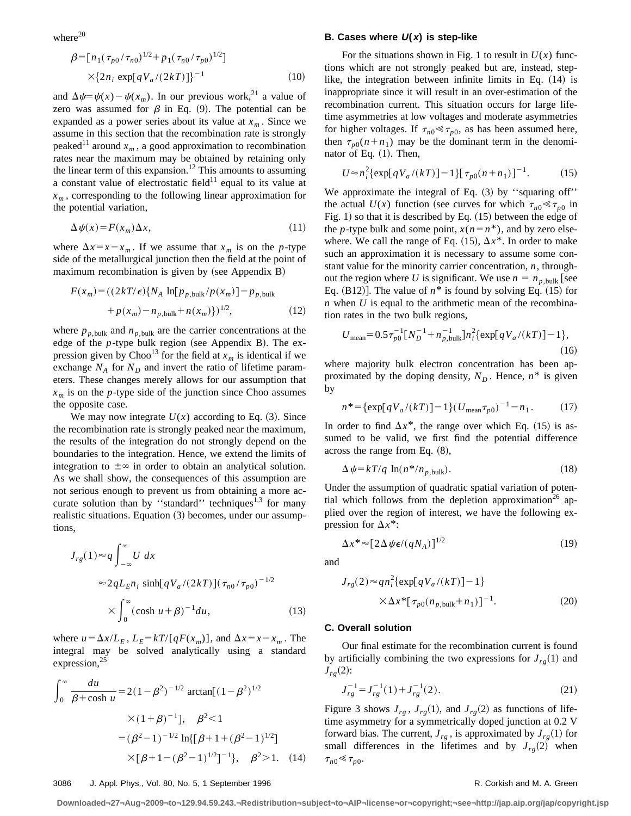where $^{20}$ 

$$
\beta = [n_1(\tau_{p0}/\tau_{n0})^{1/2} + p_1(\tau_{n0}/\tau_{p0})^{1/2}]
$$
  
×{2n<sub>i</sub> exp[qV<sub>a</sub>/(2kT)]<sup>-1</sup>} (10)

and  $\Delta \psi = \psi(x) - \psi(x_m)$ . In our previous work,<sup>21</sup> a value of zero was assumed for  $\beta$  in Eq. (9). The potential can be expanded as a power series about its value at  $x_m$ . Since we assume in this section that the recombination rate is strongly peaked<sup>11</sup> around  $x_m$ , a good approximation to recombination rates near the maximum may be obtained by retaining only the linear term of this expansion.<sup>12</sup> This amounts to assuming a constant value of electrostatic field $11$  equal to its value at  $x_m$ , corresponding to the following linear approximation for the potential variation,

$$
\Delta \psi(x) = F(x_m) \Delta x,\tag{11}
$$

where  $\Delta x = x - x_m$ . If we assume that  $x_m$  is on the *p*-type side of the metallurgical junction then the field at the point of maximum recombination is given by (see Appendix B)

$$
F(x_m) = ((2kT/\epsilon)\{N_A \ln[p_{p,\text{bulk}}/p(x_m)] - p_{p,\text{bulk}} + p(x_m) - n_{p,\text{bulk}} + n(x_m)\})^{1/2},
$$
\n(12)

where  $p_{p,\text{bulk}}$  and  $n_{p,\text{bulk}}$  are the carrier concentrations at the edge of the *p*-type bulk region (see Appendix B). The expression given by Choo<sup>13</sup> for the field at  $x_m$  is identical if we exchange  $N_A$  for  $N_D$  and invert the ratio of lifetime parameters. These changes merely allows for our assumption that  $x_m$  is on the *p*-type side of the junction since Choo assumes the opposite case.

We may now integrate  $U(x)$  according to Eq. (3). Since the recombination rate is strongly peaked near the maximum, the results of the integration do not strongly depend on the boundaries to the integration. Hence, we extend the limits of integration to  $\pm \infty$  in order to obtain an analytical solution. As we shall show, the consequences of this assumption are not serious enough to prevent us from obtaining a more accurate solution than by "standard" techniques<sup>1,3</sup> for many realistic situations. Equation (3) becomes, under our assumptions,

$$
J_{rg}(1) \approx q \int_{-\infty}^{\infty} U \, dx
$$
  
\n
$$
\approx 2q L_E n_i \sinh[qV_a/(2kT)] (\tau_{n0}/\tau_{p0})^{-1/2}
$$
  
\n
$$
\times \int_0^{\infty} (\cosh u + \beta)^{-1} du,
$$
\n(13)

where  $u = \Delta x / L_E$ ,  $L_E = kT / [qF(x_m)]$ , and  $\Delta x = x - x_m$ . The integral may be solved analytically using a standard expression,<sup>25</sup>

$$
\int_0^\infty \frac{du}{\beta + \cosh u} = 2(1 - \beta^2)^{-1/2} \arctan[(1 - \beta^2)^{1/2}
$$
  
×(1 + \beta)^{-1}],  $\beta^2 < 1$   
=  $(\beta^2 - 1)^{-1/2} \ln\{[\beta + 1 + (\beta^2 - 1)^{1/2}] \}$   
×[ $\beta$ +1- $(\beta^2 - 1)^{1/2}$ ]<sup>-1</sup>},  $\beta^2 > 1$ . (14)

#### **B. Cases where U(x) is step-like**

For the situations shown in Fig. 1 to result in  $U(x)$  functions which are not strongly peaked but are, instead, steplike, the integration between infinite limits in Eq.  $(14)$  is inappropriate since it will result in an over-estimation of the recombination current. This situation occurs for large lifetime asymmetries at low voltages and moderate asymmetries for higher voltages. If  $\tau_{n0} \ll \tau_{p0}$ , as has been assumed here, then  $\tau_{p0}(n+n_1)$  may be the dominant term in the denominator of Eq.  $(1)$ . Then,

$$
U \approx n_i^2 \{ \exp[qV_a/(kT)] - 1 \} [\tau_{p0}(n + n_1)]^{-1}.
$$
 (15)

We approximate the integral of Eq.  $(3)$  by "squaring off" the actual  $U(x)$  function (see curves for which  $\tau_{n0} \ll \tau_{n0}$  in Fig. 1) so that it is described by Eq.  $(15)$  between the edge of the *p*-type bulk and some point,  $x(n=n^*)$ , and by zero elsewhere. We call the range of Eq.  $(15)$ ,  $\Delta x^*$ . In order to make such an approximation it is necessary to assume some constant value for the minority carrier concentration, *n*, throughout the region where *U* is significant. We use  $n = n_{p, bulk}$  [see Eq.  $(B12)$ ]. The value of  $n^*$  is found by solving Eq.  $(15)$  for *n* when *U* is equal to the arithmetic mean of the recombination rates in the two bulk regions,

$$
U_{\text{mean}} = 0.5 \tau_{p0}^{-1} [N_D^{-1} + n_{p,\text{bulk}}^{-1}] n_i^2 \{ \exp[qV_a/(kT)] - 1 \},\tag{16}
$$

where majority bulk electron concentration has been approximated by the doping density,  $N_D$ . Hence,  $n^*$  is given by

$$
n^* = \{ \exp[qV_a/(kT)] - 1 \} (U_{\text{mean}} \tau_{p0})^{-1} - n_1. \tag{17}
$$

In order to find  $\Delta x^*$ , the range over which Eq. (15) is assumed to be valid, we first find the potential difference across the range from Eq.  $(8)$ ,

$$
\Delta \psi = kT/q \ln(n^*/n_{p,\text{bulk}}). \tag{18}
$$

Under the assumption of quadratic spatial variation of potential which follows from the depletion approximation<sup>26</sup> applied over the region of interest, we have the following expression for  $\Delta x^*$ :

$$
\Delta x^* \approx [2\Delta \psi \epsilon / (qN_A)]^{1/2} \tag{19}
$$

and

$$
J_{rg}(2) \approx q n_i^2 \{ \exp[qV_a/(kT)] - 1 \}
$$
  
 
$$
\times \Delta x^* [\tau_{p0}(n_{p,\text{bulk}} + n_1)]^{-1}.
$$
 (20)

#### **C. Overall solution**

Our final estimate for the recombination current is found by artificially combining the two expressions for  $J_{r\rho}(1)$  and  $J_{r\rho}(2)$ :

$$
J_{rg}^{-1} = J_{rg}^{-1}(1) + J_{rg}^{-1}(2). \tag{21}
$$

Figure 3 shows  $J_{r\rho}$ ,  $J_{r\rho}$ (1), and  $J_{r\rho}$ (2) as functions of lifetime asymmetry for a symmetrically doped junction at 0.2 V forward bias. The current,  $J_{rg}$ , is approximated by  $J_{rg}(1)$  for small differences in the lifetimes and by  $J_{rg}(2)$  when  $\tau_{n0}$   $\ll$   $\tau_{p0}$ .

#### 3086 J. Appl. Phys., Vol. 80, No. 5, 1 September 1996 **R. Communist Communist Communist Communist Convention** R. Corkish and M. A. Green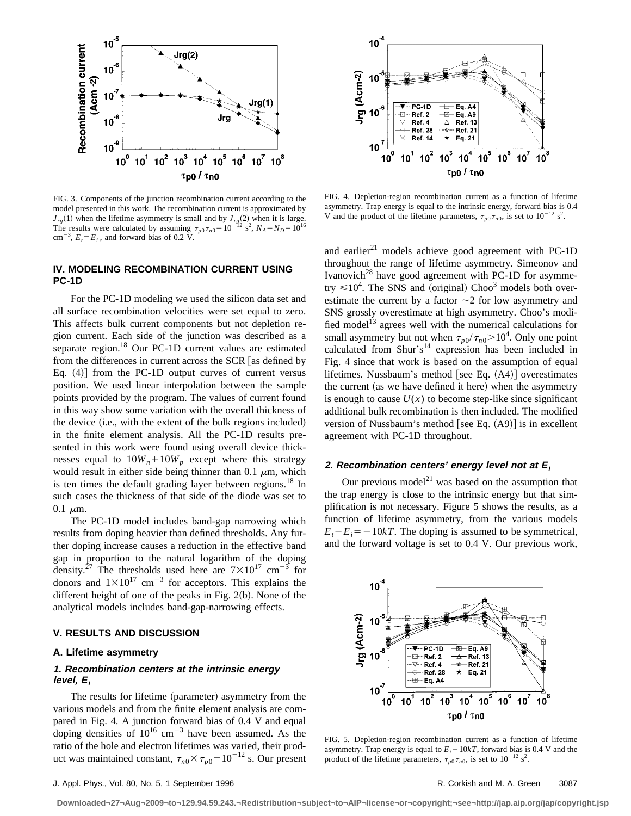

FIG. 3. Components of the junction recombination current according to the model presented in this work. The recombination current is approximated by  $J_{rg}(1)$  when the lifetime asymmetry is small and by  $J_{rg}(2)$  when it is large. The results were calculated by assuming  $\tau_{p0}\tau_{n0} = 10^{-12} \text{ s}^2$ ,  $N_A = N_D = 10^{16}$  $\text{cm}^{-3}$ ,  $E_t = E_i$ , and forward bias of 0.2 V.

#### **IV. MODELING RECOMBINATION CURRENT USING PC-1D**

For the PC-1D modeling we used the silicon data set and all surface recombination velocities were set equal to zero. This affects bulk current components but not depletion region current. Each side of the junction was described as a separate region.<sup>18</sup> Our PC-1D current values are estimated from the differences in current across the  $SCR$  as defined by Eq.  $(4)$ ] from the PC-1D output curves of current versus position. We used linear interpolation between the sample points provided by the program. The values of current found in this way show some variation with the overall thickness of the device  $(i.e., with the extent of the bulk regions included)$ in the finite element analysis. All the PC-1D results presented in this work were found using overall device thicknesses equal to  $10W_n + 10W_p$  except where this strategy would result in either side being thinner than 0.1  $\mu$ m, which is ten times the default grading layer between regions.<sup>18</sup> In such cases the thickness of that side of the diode was set to  $0.1 \mu m$ .

The PC-1D model includes band-gap narrowing which results from doping heavier than defined thresholds. Any further doping increase causes a reduction in the effective band gap in proportion to the natural logarithm of the doping density.<sup>27</sup> The thresholds used here are  $7 \times 10^{17}$  cm<sup>-3</sup> for donors and  $1\times10^{17}$  cm<sup>-3</sup> for acceptors. This explains the different height of one of the peaks in Fig.  $2(b)$ . None of the analytical models includes band-gap-narrowing effects.

#### **V. RESULTS AND DISCUSSION**

#### **A. Lifetime asymmetry**

#### **1. Recombination centers at the intrinsic energy**  $level, E<sub>i</sub>$

The results for lifetime (parameter) asymmetry from the various models and from the finite element analysis are compared in Fig. 4. A junction forward bias of 0.4 V and equal doping densities of  $10^{16}$  cm<sup>-3</sup> have been assumed. As the ratio of the hole and electron lifetimes was varied, their product was maintained constant,  $\tau_{n0} \times \tau_{p0} = 10^{-12}$  s. Our present



FIG. 4. Depletion-region recombination current as a function of lifetime asymmetry. Trap energy is equal to the intrinsic energy, forward bias is 0.4 V and the product of the lifetime parameters,  $\tau_{p0}\tau_{n0}$ , is set to 10<sup>-12</sup> s<sup>2</sup>.

and earlier $^{21}$  models achieve good agreement with PC-1D throughout the range of lifetime asymmetry. Simeonov and Ivanovich<sup>28</sup> have good agreement with PC-1D for asymmetry  $\leq 10^4$ . The SNS and (original) Choo<sup>3</sup> models both overestimate the current by a factor  $\sim$ 2 for low asymmetry and SNS grossly overestimate at high asymmetry. Choo's modified model<sup>13</sup> agrees well with the numerical calculations for small asymmetry but not when  $\tau_{p0}/\tau_{n0} > 10^4$ . Only one point calculated from Shur's<sup>14</sup> expression has been included in Fig. 4 since that work is based on the assumption of equal lifetimes. Nussbaum's method [see Eq.  $(A4)$ ] overestimates the current (as we have defined it here) when the asymmetry is enough to cause  $U(x)$  to become step-like since significant additional bulk recombination is then included. The modified version of Nussbaum's method [see Eq.  $(A9)$ ] is in excellent agreement with PC-1D throughout.

#### **2. Recombination centers' energy level not at E<sup>i</sup>**

Our previous model<sup>21</sup> was based on the assumption that the trap energy is close to the intrinsic energy but that simplification is not necessary. Figure 5 shows the results, as a function of lifetime asymmetry, from the various models  $E_t - E_i = -10kT$ . The doping is assumed to be symmetrical, and the forward voltage is set to 0.4 V. Our previous work,



FIG. 5. Depletion-region recombination current as a function of lifetime asymmetry. Trap energy is equal to  $E_i$  – 10*kT*, forward bias is 0.4 V and the product of the lifetime parameters,  $\tau_{p0}\tau_{n0}$ , is set to  $10^{-12}$  s<sup>2</sup>.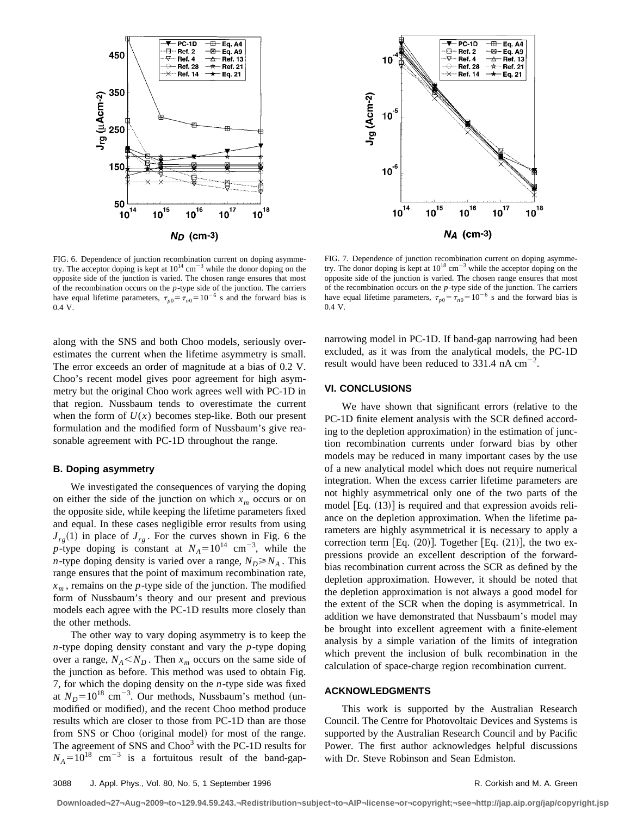

FIG. 6. Dependence of junction recombination current on doping asymmetry. The acceptor doping is kept at  $10^{14}$  cm<sup>-3</sup> while the donor doping on the opposite side of the junction is varied. The chosen range ensures that most of the recombination occurs on the *p*-type side of the junction. The carriers have equal lifetime parameters,  $\tau_{p0} = \tau_{n0} = 10^{-6}$  s and the forward bias is 0.4 V.

along with the SNS and both Choo models, seriously overestimates the current when the lifetime asymmetry is small. The error exceeds an order of magnitude at a bias of 0.2 V. Choo's recent model gives poor agreement for high asymmetry but the original Choo work agrees well with PC-1D in that region. Nussbaum tends to overestimate the current when the form of  $U(x)$  becomes step-like. Both our present formulation and the modified form of Nussbaum's give reasonable agreement with PC-1D throughout the range.

#### **B. Doping asymmetry**

We investigated the consequences of varying the doping on either the side of the junction on which  $x_m$  occurs or on the opposite side, while keeping the lifetime parameters fixed and equal. In these cases negligible error results from using  $J_{rg}(1)$  in place of  $J_{rg}$ . For the curves shown in Fig. 6 the *p*-type doping is constant at  $N_A = 10^{14}$  cm<sup>-3</sup>, while the *n*-type doping density is varied over a range,  $N_D \ge N_A$ . This range ensures that the point of maximum recombination rate,  $x_m$ , remains on the *p*-type side of the junction. The modified form of Nussbaum's theory and our present and previous models each agree with the PC-1D results more closely than the other methods.

The other way to vary doping asymmetry is to keep the *n*-type doping density constant and vary the *p*-type doping over a range,  $N_A < N_D$ . Then  $x_m$  occurs on the same side of the junction as before. This method was used to obtain Fig. 7, for which the doping density on the *n*-type side was fixed at  $N_D=10^{18}$  cm<sup>-3</sup>. Our methods, Nussbaum's method (unmodified or modified), and the recent Choo method produce results which are closer to those from PC-1D than are those from SNS or Choo (original model) for most of the range. The agreement of SNS and Choo<sup>3</sup> with the PC-1D results for  $N_A = 10^{18}$  cm<sup>-3</sup> is a fortuitous result of the band-gap-



FIG. 7. Dependence of junction recombination current on doping asymmetry. The donor doping is kept at  $10^{18}$  cm<sup>-3</sup> while the acceptor doping on the opposite side of the junction is varied. The chosen range ensures that most of the recombination occurs on the *p*-type side of the junction. The carriers have equal lifetime parameters,  $\tau_{p0} = \tau_{n0} = 10^{-6}$  s and the forward bias is 0.4 V.

narrowing model in PC-1D. If band-gap narrowing had been excluded, as it was from the analytical models, the PC-1D result would have been reduced to  $331.4$  nA cm<sup>-2</sup>.

#### **VI. CONCLUSIONS**

We have shown that significant errors (relative to the PC-1D finite element analysis with the SCR defined according to the depletion approximation) in the estimation of junction recombination currents under forward bias by other models may be reduced in many important cases by the use of a new analytical model which does not require numerical integration. When the excess carrier lifetime parameters are not highly asymmetrical only one of the two parts of the model  $[Eq. (13)]$  is required and that expression avoids reliance on the depletion approximation. When the lifetime parameters are highly asymmetrical it is necessary to apply a correction term [Eq.  $(20)$ ]. Together [Eq.  $(21)$ ], the two expressions provide an excellent description of the forwardbias recombination current across the SCR as defined by the depletion approximation. However, it should be noted that the depletion approximation is not always a good model for the extent of the SCR when the doping is asymmetrical. In addition we have demonstrated that Nussbaum's model may be brought into excellent agreement with a finite-element analysis by a simple variation of the limits of integration which prevent the inclusion of bulk recombination in the calculation of space-charge region recombination current.

#### **ACKNOWLEDGMENTS**

This work is supported by the Australian Research Council. The Centre for Photovoltaic Devices and Systems is supported by the Australian Research Council and by Pacific Power. The first author acknowledges helpful discussions with Dr. Steve Robinson and Sean Edmiston.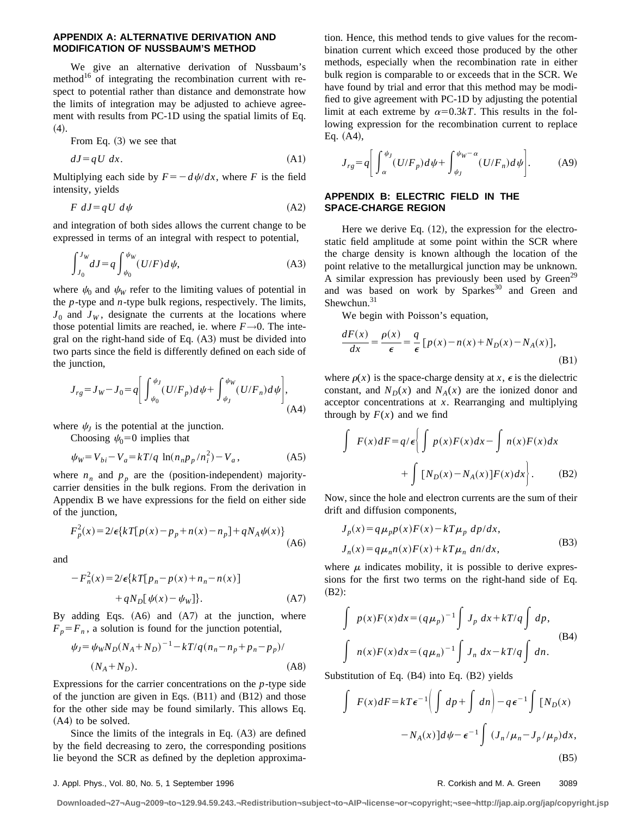#### **APPENDIX A: ALTERNATIVE DERIVATION AND MODIFICATION OF NUSSBAUM'S METHOD**

We give an alternative derivation of Nussbaum's method $16$  of integrating the recombination current with respect to potential rather than distance and demonstrate how the limits of integration may be adjusted to achieve agreement with results from PC-1D using the spatial limits of Eq.  $(4).$ 

From Eq.  $(3)$  we see that

$$
dJ = qU \, dx. \tag{A1}
$$

Multiplying each side by  $F=-\frac{d\psi}{dx}$ , where *F* is the field intensity, yields

$$
F \, dJ = qU \, d\psi \tag{A2}
$$

and integration of both sides allows the current change to be expressed in terms of an integral with respect to potential,

$$
\int_{J_0}^{J_W} dJ = q \int_{\psi_0}^{\psi_W} (U/F) d\psi,
$$
 (A3)

where  $\psi_0$  and  $\psi_W$  refer to the limiting values of potential in the *p*-type and *n*-type bulk regions, respectively. The limits,  $J_0$  and  $J_W$ , designate the currents at the locations where those potential limits are reached, ie. where  $F \rightarrow 0$ . The integral on the right-hand side of Eq.  $(A3)$  must be divided into two parts since the field is differently defined on each side of the junction,

$$
J_{rg} = J_W - J_0 = q \left[ \int_{\psi_0}^{\psi_J} (U/F_p) d\psi + \int_{\psi_J}^{\psi_W} (U/F_n) d\psi \right],
$$
\n(A4)

where  $\psi$ <sub>*I*</sub> is the potential at the junction.

Choosing  $\psi_0=0$  implies that

$$
\psi_W = V_{bi} - V_a = kT/q \ln(n_n p_p/n_i^2) - V_a, \tag{A5}
$$

where  $n_n$  and  $p_n$  are the (position-independent) majoritycarrier densities in the bulk regions. From the derivation in Appendix B we have expressions for the field on either side of the junction,

$$
F_p^2(x) = 2/\epsilon \{ kT[p(x) - p_p + n(x) - n_p] + qN_A \psi(x) \}
$$
\n(A6)

and

$$
-F_n^2(x) = 2/\epsilon \{ kT[p_n - p(x) + n_n - n(x)]
$$

$$
+ qN_D[\psi(x) - \psi_w] \}.
$$
 (A7)

By adding Eqs.  $(A6)$  and  $(A7)$  at the junction, where  $F_p = F_n$ , a solution is found for the junction potential,

$$
\psi_J = \psi_W N_D (N_A + N_D)^{-1} - kT/q (n_n - n_p + p_n - p_p) /
$$
  
(N<sub>A</sub> + N<sub>D</sub>). (A8)

Expressions for the carrier concentrations on the *p*-type side of the junction are given in Eqs.  $(B11)$  and  $(B12)$  and those for the other side may be found similarly. This allows Eq.  $(A4)$  to be solved.

Since the limits of the integrals in Eq.  $(A3)$  are defined by the field decreasing to zero, the corresponding positions lie beyond the SCR as defined by the depletion approximation. Hence, this method tends to give values for the recombination current which exceed those produced by the other methods, especially when the recombination rate in either bulk region is comparable to or exceeds that in the SCR. We have found by trial and error that this method may be modified to give agreement with PC-1D by adjusting the potential limit at each extreme by  $\alpha=0.3kT$ . This results in the following expression for the recombination current to replace Eq.  $(A4)$ ,

$$
J_{rg} = q \left[ \int_{\alpha}^{\psi_J} (U/F_p) d\psi + \int_{\psi_J}^{\psi_W - \alpha} (U/F_n) d\psi \right].
$$
 (A9)

#### **APPENDIX B: ELECTRIC FIELD IN THE SPACE-CHARGE REGION**

Here we derive Eq.  $(12)$ , the expression for the electrostatic field amplitude at some point within the SCR where the charge density is known although the location of the point relative to the metallurgical junction may be unknown. A similar expression has previously been used by  $Green<sup>29</sup>$ and was based on work by Sparkes $30$  and Green and Shewchun.<sup>31</sup>

We begin with Poisson's equation,

$$
\frac{dF(x)}{dx} = \frac{\rho(x)}{\epsilon} = \frac{q}{\epsilon} [p(x) - n(x) + N_D(x) - N_A(x)],
$$
\n(B1)

where  $\rho(x)$  is the space-charge density at *x*,  $\epsilon$  is the dielectric constant, and  $N_D(x)$  and  $N_A(x)$  are the ionized donor and acceptor concentrations at *x*. Rearranging and multiplying through by  $F(x)$  and we find

$$
\int F(x)dF = q/\epsilon \left\{ \int p(x)F(x)dx - \int n(x)F(x)dx + \int [N_D(x) - N_A(x)]F(x)dx \right\}.
$$
 (B2)

Now, since the hole and electron currents are the sum of their drift and diffusion components,

$$
J_p(x) = q\mu_p p(x)F(x) - kT\mu_p \, dp/dx,
$$
  
\n
$$
J_n(x) = q\mu_n n(x)F(x) + kT\mu_n \, dn/dx,
$$
\n(B3)

where  $\mu$  indicates mobility, it is possible to derive expressions for the first two terms on the right-hand side of Eq.  $(B2):$ 

$$
\int p(x)F(x)dx = (q\mu_p)^{-1} \int J_p dx + kT/q \int dp,
$$
  

$$
\int n(x)F(x)dx = (q\mu_n)^{-1} \int J_n dx - kT/q \int dn.
$$
 (B4)

Substitution of Eq.  $(B4)$  into Eq.  $(B2)$  yields

$$
\int F(x)dF = kTe^{-1} \left( \int dp + \int dn \right) - q\epsilon^{-1} \int [N_D(x) - N_A(x)]d\psi - \epsilon^{-1} \int (J_n/\mu_n - J_p/\mu_p)dx,
$$
\n(B5)

#### J. Appl. Phys., Vol. 80, No. 5, 1 September 1996 **Report According to According the Core** R. Corkish and M. A. Green 3089